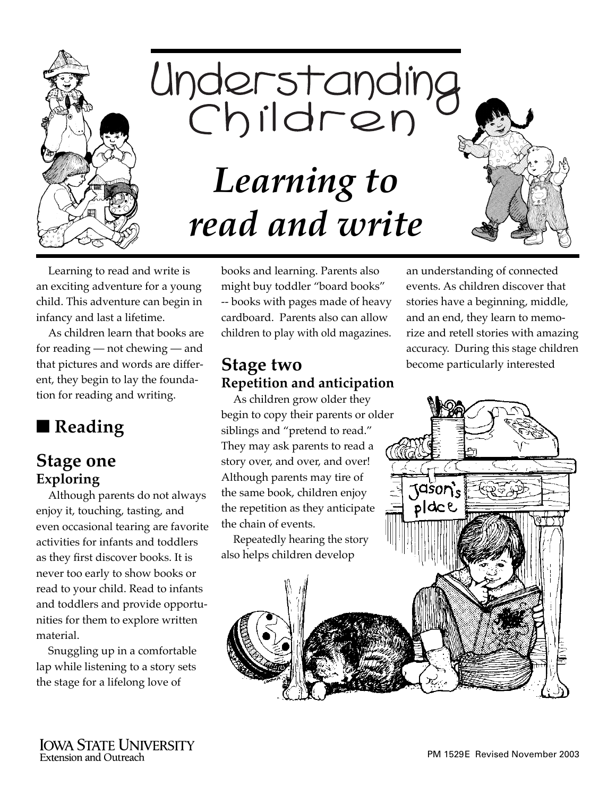



Learning to read and write is an exciting adventure for a young child. This adventure can begin in infancy and last a lifetime.

As children learn that books are for reading — not chewing — and that pictures and words are different, they begin to lay the foundation for reading and writing.

# ■ **Reading**

#### **Stage one Exploring**

Although parents do not always enjoy it, touching, tasting, and even occasional tearing are favorite activities for infants and toddlers as they first discover books. It is never too early to show books or read to your child. Read to infants and toddlers and provide opportunities for them to explore written material.

Snuggling up in a comfortable lap while listening to a story sets the stage for a lifelong love of

books and learning. Parents also might buy toddler "board books" -- books with pages made of heavy cardboard. Parents also can allow children to play with old magazines.

#### **Stage two Repetition and anticipation**

As children grow older they begin to copy their parents or older siblings and "pretend to read." They may ask parents to read a story over, and over, and over! Although parents may tire of the same book, children enjoy the repetition as they anticipate the chain of events.

Repeatedly hearing the story also helps children develop

an understanding of connected events. As children discover that stories have a beginning, middle, and an end, they learn to memorize and retell stories with amazing accuracy. During this stage children become particularly interested

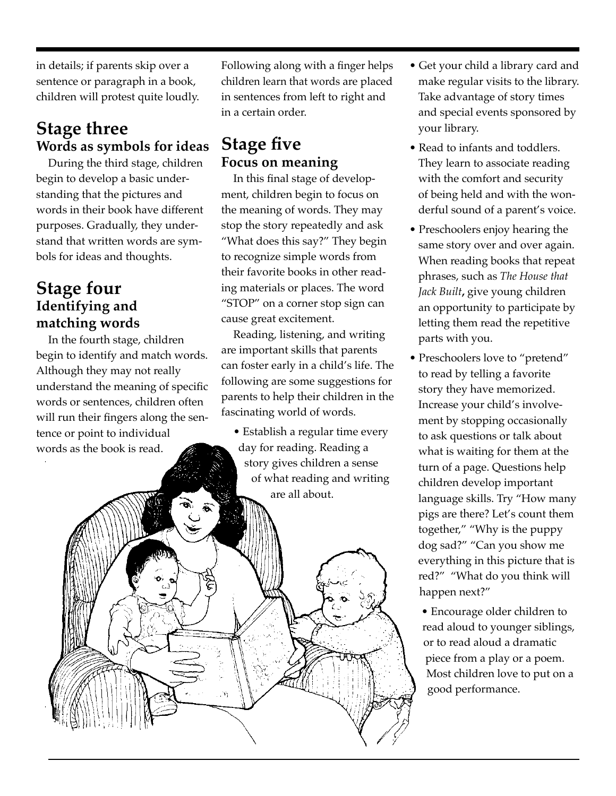in details; if parents skip over a sentence or paragraph in a book, children will protest quite loudly.

## **Stage three Words as symbols for ideas**

During the third stage, children begin to develop a basic understanding that the pictures and words in their book have different purposes. Gradually, they understand that written words are symbols for ideas and thoughts.

#### **Stage four Identifying and matching words**

In the fourth stage, children begin to identify and match words. Although they may not really understand the meaning of specific words or sentences, children often will run their fingers along the sentence or point to individual words as the book is read.

Following along with a finger helps children learn that words are placed in sentences from left to right and in a certain order.

#### **Stage five Focus on meaning**

In this final stage of development, children begin to focus on the meaning of words. They may stop the story repeatedly and ask "What does this say?" They begin to recognize simple words from their favorite books in other reading materials or places. The word "STOP" on a corner stop sign can cause great excitement.

Reading, listening, and writing are important skills that parents can foster early in a child's life. The following are some suggestions for parents to help their children in the fascinating world of words.

• Establish a regular time every day for reading. Reading a story gives children a sense of what reading and writing are all about.

- Get your child a library card and make regular visits to the library. Take advantage of story times and special events sponsored by your library.
- Read to infants and toddlers. They learn to associate reading with the comfort and security of being held and with the wonderful sound of a parent's voice.
- Preschoolers enjoy hearing the same story over and over again. When reading books that repeat phrases, such as *The House that Jack Built***,** give young children an opportunity to participate by letting them read the repetitive parts with you.
- Preschoolers love to "pretend" to read by telling a favorite story they have memorized. Increase your child's involvement by stopping occasionally to ask questions or talk about what is waiting for them at the turn of a page. Questions help children develop important language skills. Try "How many pigs are there? Let's count them together," "Why is the puppy dog sad?" "Can you show me everything in this picture that is red?" "What do you think will happen next?"

• Encourage older children to read aloud to younger siblings, or to read aloud a dramatic piece from a play or a poem. Most children love to put on a good performance.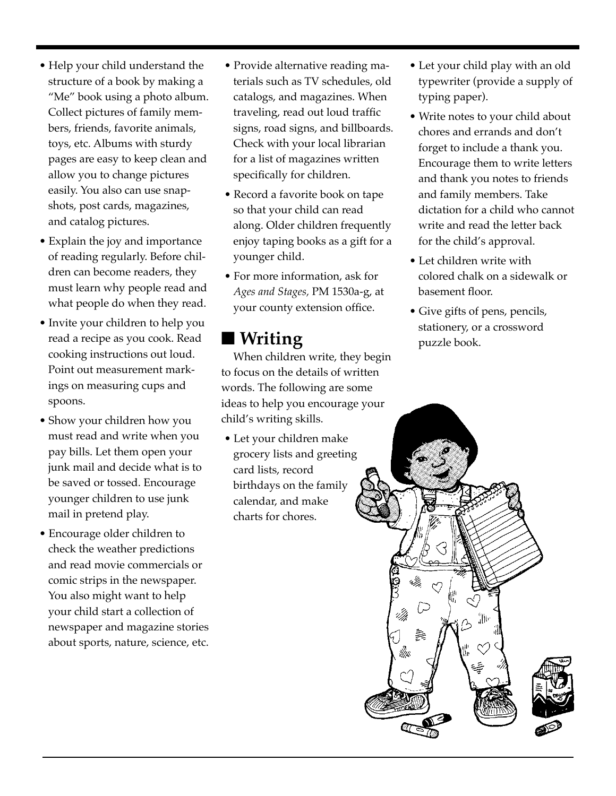- Help your child understand the structure of a book by making a "Me" book using a photo album. Collect pictures of family members, friends, favorite animals, toys, etc. Albums with sturdy pages are easy to keep clean and allow you to change pictures easily. You also can use snapshots, post cards, magazines, and catalog pictures.
- Explain the joy and importance of reading regularly. Before children can become readers, they must learn why people read and what people do when they read.
- Invite your children to help you read a recipe as you cook. Read cooking instructions out loud. Point out measurement markings on measuring cups and spoons.
- Show your children how you must read and write when you pay bills. Let them open your junk mail and decide what is to be saved or tossed. Encourage younger children to use junk mail in pretend play.
- Encourage older children to check the weather predictions and read movie commercials or comic strips in the newspaper. You also might want to help your child start a collection of newspaper and magazine stories about sports, nature, science, etc.
- Provide alternative reading materials such as TV schedules, old catalogs, and magazines. When traveling, read out loud traffic signs, road signs, and billboards. Check with your local librarian for a list of magazines written specifically for children.
- Record a favorite book on tape so that your child can read along. Older children frequently enjoy taping books as a gift for a younger child.
- For more information, ask for *Ages and Stages,* PM 1530a-g, at your county extension office.

### ■ **Writing**

When children write, they begin to focus on the details of written words. The following are some ideas to help you encourage your child's writing skills.

• Let your children make grocery lists and greeting card lists, record birthdays on the family calendar, and make charts for chores.

- Let your child play with an old typewriter (provide a supply of typing paper).
- Write notes to your child about chores and errands and don't forget to include a thank you. Encourage them to write letters and thank you notes to friends and family members. Take dictation for a child who cannot write and read the letter back for the child's approval.
- Let children write with colored chalk on a sidewalk or basement floor.
- Give gifts of pens, pencils, stationery, or a crossword puzzle book.